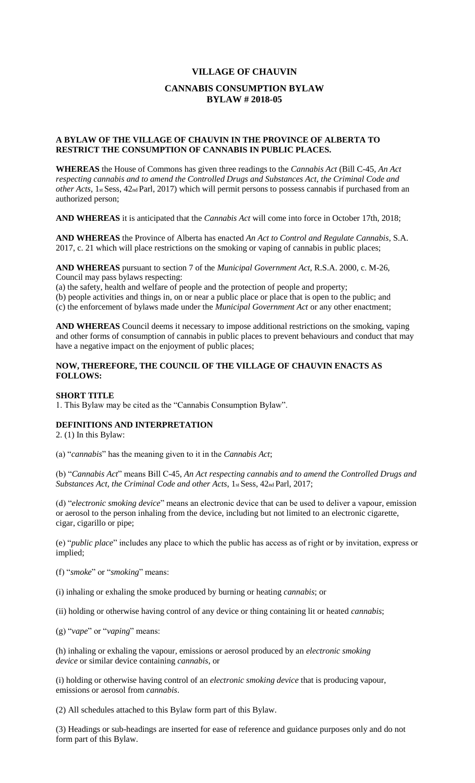#### **VILLAGE OF CHAUVIN**

## **CANNABIS CONSUMPTION BYLAW BYLAW # 2018-05**

### **A BYLAW OF THE VILLAGE OF CHAUVIN IN THE PROVINCE OF ALBERTA TO RESTRICT THE CONSUMPTION OF CANNABIS IN PUBLIC PLACES.**

**WHEREAS** the House of Commons has given three readings to the *Cannabis Act* (Bill C-45, *An Act respecting cannabis and to amend the Controlled Drugs and Substances Act, the Criminal Code and other Acts*, 1st Sess, 42nd Parl, 2017) which will permit persons to possess cannabis if purchased from an authorized person;

**AND WHEREAS** it is anticipated that the *Cannabis Act* will come into force in October 17th, 2018;

**AND WHEREAS** the Province of Alberta has enacted *An Act to Control and Regulate Cannabis*, S.A. 2017, c. 21 which will place restrictions on the smoking or vaping of cannabis in public places;

**AND WHEREAS** pursuant to section 7 of the *Municipal Government Act*, R.S.A. 2000, c. M-26, Council may pass bylaws respecting:

(a) the safety, health and welfare of people and the protection of people and property;

(b) people activities and things in, on or near a public place or place that is open to the public; and

(c) the enforcement of bylaws made under the *Municipal Government Act* or any other enactment;

**AND WHEREAS** Council deems it necessary to impose additional restrictions on the smoking, vaping and other forms of consumption of cannabis in public places to prevent behaviours and conduct that may have a negative impact on the enjoyment of public places;

### **NOW, THEREFORE, THE COUNCIL OF THE VILLAGE OF CHAUVIN ENACTS AS FOLLOWS:**

### **SHORT TITLE**

1. This Bylaw may be cited as the "Cannabis Consumption Bylaw".

### **DEFINITIONS AND INTERPRETATION**

2. (1) In this Bylaw:

(a) "*cannabis*" has the meaning given to it in the *Cannabis Act*;

(b) "*Cannabis Act*" means Bill C-45, *An Act respecting cannabis and to amend the Controlled Drugs and Substances Act, the Criminal Code and other Acts*, 1st Sess, 42nd Parl, 2017;

(d) "*electronic smoking device*" means an electronic device that can be used to deliver a vapour, emission or aerosol to the person inhaling from the device, including but not limited to an electronic cigarette, cigar, cigarillo or pipe;

(e) "*public place*" includes any place to which the public has access as of right or by invitation, express or implied;

(f) "*smoke*" or "*smoking*" means:

(i) inhaling or exhaling the smoke produced by burning or heating *cannabis*; or

(ii) holding or otherwise having control of any device or thing containing lit or heated *cannabis*;

(g) "*vape*" or "*vaping*" means:

(h) inhaling or exhaling the vapour, emissions or aerosol produced by an *electronic smoking device* or similar device containing *cannabis*, or

(i) holding or otherwise having control of an *electronic smoking device* that is producing vapour, emissions or aerosol from *cannabis*.

(2) All schedules attached to this Bylaw form part of this Bylaw*.* 

(3) Headings or sub-headings are inserted for ease of reference and guidance purposes only and do not form part of this Bylaw.